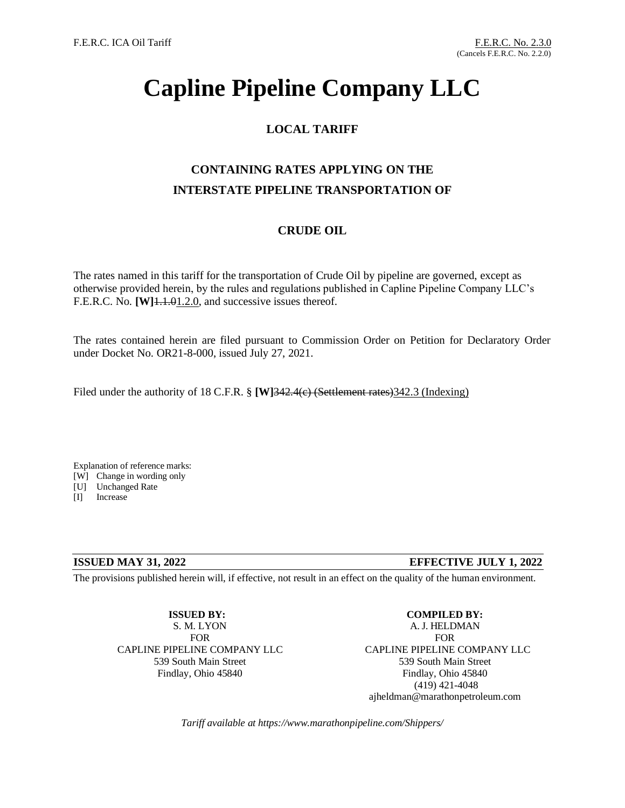# **Capline Pipeline Company LLC**

### **LOCAL TARIFF**

## **CONTAINING RATES APPLYING ON THE INTERSTATE PIPELINE TRANSPORTATION OF**

#### **CRUDE OIL**

The rates named in this tariff for the transportation of Crude Oil by pipeline are governed, except as otherwise provided herein, by the rules and regulations published in Capline Pipeline Company LLC's F.E.R.C. No. **[W]**1.1.01.2.0, and successive issues thereof.

The rates contained herein are filed pursuant to Commission Order on Petition for Declaratory Order under Docket No. OR21-8-000, issued July 27, 2021.

Filed under the authority of 18 C.F.R. § **[W]342.4(e)** (Settlement rates) 342.3 (Indexing)

Explanation of reference marks:

[W] Change in wording only

[U] Unchanged Rate

[I] Increase

#### **ISSUED MAY 31, 2022 EFFECTIVE JULY 1, 2022**

The provisions published herein will, if effective, not result in an effect on the quality of the human environment.

**ISSUED BY:** S. M. LYON FOR CAPLINE PIPELINE COMPANY LLC 539 South Main Street Findlay, Ohio 45840

**COMPILED BY:** A. J. HELDMAN FOR CAPLINE PIPELINE COMPANY LLC 539 South Main Street Findlay, Ohio 45840 (419) 421-4048 ajheldman@marathonpetroleum.com

*Tariff available at https://www.marathonpipeline.com/Shippers/*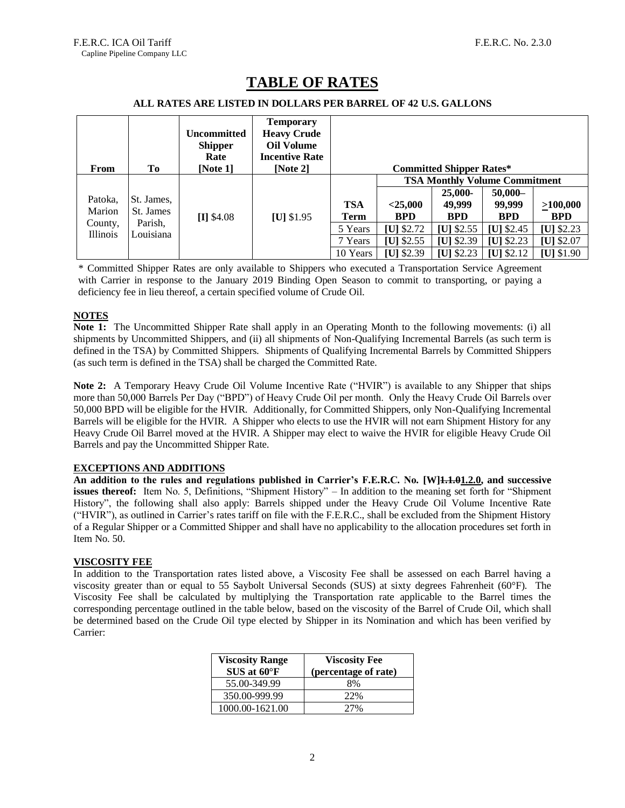| From                                 | Tо                                | <b>Uncommitted</b><br><b>Shipper</b><br>Rate<br>[Note $1$ ] | <b>Temporary</b><br><b>Heavy Crude</b><br><b>Oil Volume</b><br><b>Incentive Rate</b><br>[Note $2$ ] |            |                                      | <b>Committed Shipper Rates*</b> |                                |             |  |
|--------------------------------------|-----------------------------------|-------------------------------------------------------------|-----------------------------------------------------------------------------------------------------|------------|--------------------------------------|---------------------------------|--------------------------------|-------------|--|
|                                      |                                   |                                                             |                                                                                                     |            | <b>TSA Monthly Volume Commitment</b> |                                 |                                |             |  |
|                                      |                                   |                                                             |                                                                                                     |            |                                      | 25,000-                         | $50,000-$                      |             |  |
| Patoka.                              | St. James,                        |                                                             |                                                                                                     | <b>TSA</b> | $<$ 25,000                           | 49,999                          | 99,999                         | >100,000    |  |
| Marion<br>County,<br><b>Illinois</b> | St. James<br>Parish,<br>Louisiana | $[I]$ \$4.08                                                | $[U]$ \$1.95                                                                                        | Term       | <b>BPD</b>                           | <b>BPD</b>                      | <b>BPD</b>                     | <b>BPD</b>  |  |
|                                      |                                   |                                                             |                                                                                                     | 5 Years    | $[U]$ \$2.72                         | [U] $$2.55$                     | [U] $$2.45$                    | [U] $$2.23$ |  |
|                                      |                                   |                                                             |                                                                                                     | 7 Years    | [U] $$2.55$                          | [U] $$2.39$                     | $ U $ \$2.23                   | [U] $$2.07$ |  |
|                                      |                                   |                                                             |                                                                                                     | 10 Years   | $[U]$ \$2.39                         | [U] $$2.23$                     | $\left[\text{U}\right]$ \$2.12 | [U] \$1.90  |  |

## **TABLE OF RATES**

#### **ALL RATES ARE LISTED IN DOLLARS PER BARREL OF 42 U.S. GALLONS**

\* Committed Shipper Rates are only available to Shippers who executed a Transportation Service Agreement with Carrier in response to the January 2019 Binding Open Season to commit to transporting, or paying a deficiency fee in lieu thereof, a certain specified volume of Crude Oil.

#### **NOTES**

**Note 1:** The Uncommitted Shipper Rate shall apply in an Operating Month to the following movements: (i) all shipments by Uncommitted Shippers, and (ii) all shipments of Non-Qualifying Incremental Barrels (as such term is defined in the TSA) by Committed Shippers. Shipments of Qualifying Incremental Barrels by Committed Shippers (as such term is defined in the TSA) shall be charged the Committed Rate.

**Note 2:** A Temporary Heavy Crude Oil Volume Incentive Rate ("HVIR") is available to any Shipper that ships more than 50,000 Barrels Per Day ("BPD") of Heavy Crude Oil per month. Only the Heavy Crude Oil Barrels over 50,000 BPD will be eligible for the HVIR. Additionally, for Committed Shippers, only Non-Qualifying Incremental Barrels will be eligible for the HVIR. A Shipper who elects to use the HVIR will not earn Shipment History for any Heavy Crude Oil Barrel moved at the HVIR. A Shipper may elect to waive the HVIR for eligible Heavy Crude Oil Barrels and pay the Uncommitted Shipper Rate.

#### **EXCEPTIONS AND ADDITIONS**

**An addition to the rules and regulations published in Carrier's F.E.R.C. No. [W]1.1.01.2.0, and successive issues thereof:** Item No. 5, Definitions, "Shipment History" – In addition to the meaning set forth for "Shipment History", the following shall also apply: Barrels shipped under the Heavy Crude Oil Volume Incentive Rate ("HVIR"), as outlined in Carrier's rates tariff on file with the F.E.R.C., shall be excluded from the Shipment History of a Regular Shipper or a Committed Shipper and shall have no applicability to the allocation procedures set forth in Item No. 50.

#### **VISCOSITY FEE**

In addition to the Transportation rates listed above, a Viscosity Fee shall be assessed on each Barrel having a viscosity greater than or equal to 55 Saybolt Universal Seconds (SUS) at sixty degrees Fahrenheit (60°F). The Viscosity Fee shall be calculated by multiplying the Transportation rate applicable to the Barrel times the corresponding percentage outlined in the table below, based on the viscosity of the Barrel of Crude Oil, which shall be determined based on the Crude Oil type elected by Shipper in its Nomination and which has been verified by Carrier:

| <b>Viscosity Range</b><br>$SUS$ at $60^{\circ}F$ | <b>Viscosity Fee</b><br>(percentage of rate) |
|--------------------------------------------------|----------------------------------------------|
| 55.00-349.99                                     | 8%                                           |
| 350.00-999.99                                    | 22%                                          |
| 1000.00-1621.00                                  | 27%                                          |